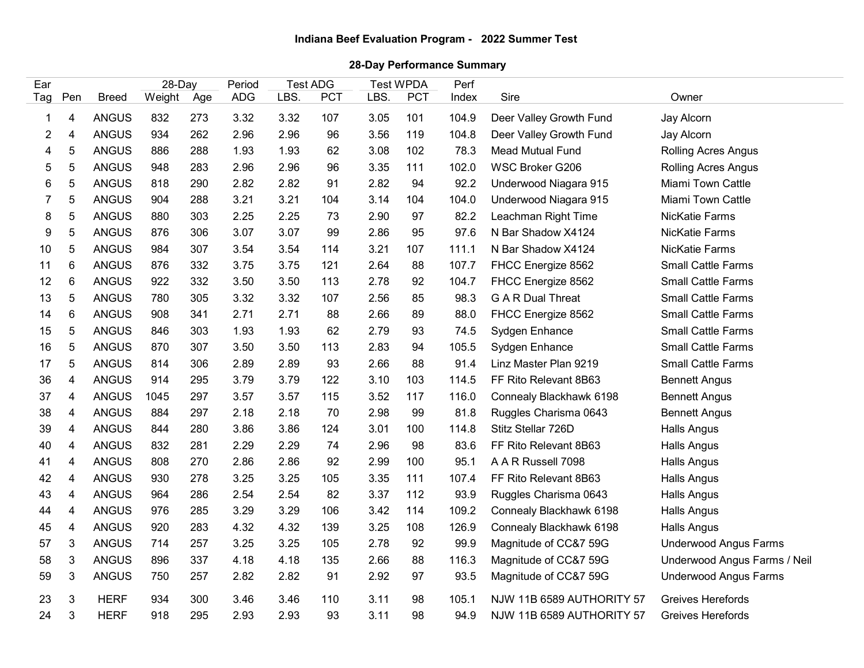## 28-Day Performance Summary

|                |                            |                              |                         |            |                      |                                       |           |                                        |            |               | Indiana Beef Evaluation Program - 2022 Summer Test |                                               |  |  |  |
|----------------|----------------------------|------------------------------|-------------------------|------------|----------------------|---------------------------------------|-----------|----------------------------------------|------------|---------------|----------------------------------------------------|-----------------------------------------------|--|--|--|
|                | 28-Day Performance Summary |                              |                         |            |                      |                                       |           |                                        |            |               |                                                    |                                               |  |  |  |
| Ear<br>Tag Pen |                            | <b>Breed</b>                 | 28-Day<br>Weight<br>Age |            | Period<br><b>ADG</b> | <b>Test ADG</b><br><b>PCT</b><br>LBS. |           | <b>Test WPDA</b><br>LBS.<br><b>PCT</b> |            | Perf<br>Index | Sire                                               | Owner                                         |  |  |  |
|                | 4                          | <b>ANGUS</b>                 | 832                     | 273        | 3.32                 | 3.32                                  | 107       | 3.05                                   | 101        | 104.9         | Deer Valley Growth Fund                            | Jay Alcorn                                    |  |  |  |
| 2              |                            | <b>ANGUS</b>                 | 934                     | 262        | 2.96                 | 2.96                                  | 96        | 3.56                                   | 119        | 104.8         | Deer Valley Growth Fund                            | Jay Alcorn                                    |  |  |  |
| 4              | 5                          | <b>ANGUS</b>                 | 886                     | 288        | 1.93                 | 1.93                                  | 62        | 3.08                                   | 102        | 78.3          | <b>Mead Mutual Fund</b>                            | Rolling Acres Angus                           |  |  |  |
| 5.             | 5                          | <b>ANGUS</b>                 | 948                     | 283        | 2.96                 | 2.96                                  | 96        | 3.35                                   | 111        | 102.0         | <b>WSC Broker G206</b>                             | Rolling Acres Angus                           |  |  |  |
| 6              | 5                          | <b>ANGUS</b>                 | 818                     | 290        | 2.82                 | 2.82                                  | 91        | 2.82                                   | 94         | 92.2          | Underwood Niagara 915                              | <b>Miami Town Cattle</b>                      |  |  |  |
|                | 5                          | <b>ANGUS</b>                 | 904                     | 288        | 3.21                 | 3.21                                  | 104       | 3.14                                   | 104        | 104.0         | Underwood Niagara 915                              | Miami Town Cattle                             |  |  |  |
| 8              | 5                          | <b>ANGUS</b>                 | 880                     | 303        | 2.25                 | 2.25                                  | 73        | 2.90                                   | 97         | 82.2          | Leachman Right Time                                | <b>NicKatie Farms</b>                         |  |  |  |
| 9              | 5                          | <b>ANGUS</b>                 | 876                     | 306        | 3.07                 | 3.07                                  | 99        | 2.86                                   | 95         | 97.6          | N Bar Shadow X4124                                 | <b>NicKatie Farms</b>                         |  |  |  |
| 10             | 5                          | <b>ANGUS</b>                 | 984                     | 307        | 3.54                 | 3.54                                  | 114       | 3.21                                   | 107        | 111.1         | N Bar Shadow X4124                                 | NicKatie Farms                                |  |  |  |
| 11             | 6                          | <b>ANGUS</b>                 | 876                     | 332        | 3.75                 | 3.75                                  | 121       | 2.64                                   | 88         | 107.7         | FHCC Energize 8562                                 | <b>Small Cattle Farms</b>                     |  |  |  |
| 12             | 6                          | <b>ANGUS</b>                 | 922                     | 332        | 3.50                 | 3.50                                  | 113       | 2.78                                   | 92         | 104.7         | FHCC Energize 8562                                 | <b>Small Cattle Farms</b>                     |  |  |  |
| 13             | 5                          | <b>ANGUS</b>                 | 780                     | 305        | 3.32                 | 3.32                                  | 107       | 2.56                                   | 85         | 98.3          | <b>G A R Dual Threat</b>                           | <b>Small Cattle Farms</b>                     |  |  |  |
| 14             | 6                          | <b>ANGUS</b>                 | 908                     | 341        | 2.71                 | 2.71                                  | 88        | 2.66                                   | 89         | 88.0          | FHCC Energize 8562                                 | <b>Small Cattle Farms</b>                     |  |  |  |
| 15             | 5                          | <b>ANGUS</b>                 | 846                     | 303        | 1.93                 | 1.93                                  | 62        | 2.79                                   | 93         | 74.5          | Sydgen Enhance                                     | <b>Small Cattle Farms</b>                     |  |  |  |
| 16             | 5                          | <b>ANGUS</b>                 | 870                     | 307        | 3.50                 | 3.50                                  | 113       | 2.83                                   | 94         | 105.5         | Sydgen Enhance                                     | <b>Small Cattle Farms</b>                     |  |  |  |
| 17             | 5                          | <b>ANGUS</b>                 | 814                     | 306        | 2.89                 | 2.89                                  | 93        | 2.66                                   | 88         | 91.4          | Linz Master Plan 9219                              | <b>Small Cattle Farms</b>                     |  |  |  |
| 36             | 4                          | <b>ANGUS</b>                 | 914                     | 295        | 3.79                 | 3.79                                  | 122       | 3.10                                   | 103        | 114.5         | FF Rito Relevant 8B63                              | <b>Bennett Angus</b>                          |  |  |  |
| 37             | 4                          | <b>ANGUS</b>                 | 1045                    | 297        | 3.57                 | 3.57                                  | 115       | 3.52                                   | 117        | 116.0         | Connealy Blackhawk 6198                            | <b>Bennett Angus</b>                          |  |  |  |
| 38             | 4                          | <b>ANGUS</b>                 | 884                     | 297        | 2.18                 | 2.18                                  | 70        | 2.98                                   | 99         | 81.8          | Ruggles Charisma 0643                              | <b>Bennett Angus</b>                          |  |  |  |
| 39             | 4                          | <b>ANGUS</b>                 | 844                     | 280        | 3.86                 | 3.86                                  | 124       | 3.01                                   | 100        | 114.8         | Stitz Stellar 726D                                 | Halls Angus                                   |  |  |  |
| 40             | 4                          | <b>ANGUS</b><br><b>ANGUS</b> | 832                     | 281        | 2.29                 | 2.29                                  | 74        | 2.96                                   | 98         | 83.6          | FF Rito Relevant 8B63<br>A A R Russell 7098        | Halls Angus                                   |  |  |  |
| 41<br>42       | 4<br>4                     | <b>ANGUS</b>                 | 808<br>930              | 270<br>278 | 2.86<br>3.25         | 2.86<br>3.25                          | 92<br>105 | 2.99<br>3.35                           | 100<br>111 | 95.1<br>107.4 | FF Rito Relevant 8B63                              | Halls Angus<br>Halls Angus                    |  |  |  |
| 43             | 4                          | <b>ANGUS</b>                 | 964                     | 286        | 2.54                 | 2.54                                  | 82        | 3.37                                   | 112        | 93.9          | Ruggles Charisma 0643                              | Halls Angus                                   |  |  |  |
| 44             | 4                          | <b>ANGUS</b>                 | 976                     | 285        | 3.29                 | 3.29                                  | 106       | 3.42                                   | 114        | 109.2         | Connealy Blackhawk 6198                            | Halls Angus                                   |  |  |  |
| 45             | 4                          | <b>ANGUS</b>                 | 920                     | 283        | 4.32                 | 4.32                                  | 139       | 3.25                                   | 108        | 126.9         | Connealy Blackhawk 6198                            | Halls Angus                                   |  |  |  |
| 57             | 3                          | <b>ANGUS</b>                 | 714                     | 257        | 3.25                 | 3.25                                  | 105       | 2.78                                   | 92         | 99.9          | Magnitude of CC&7 59G                              | <b>Underwood Angus Farms</b>                  |  |  |  |
| 58             | 3                          | <b>ANGUS</b>                 | 896                     | 337        | 4.18                 | 4.18                                  | 135       | 2.66                                   | 88         | 116.3         | Magnitude of CC&7 59G                              | Underwood Angus Farms / Neil                  |  |  |  |
| 59             | 3                          | <b>ANGUS</b>                 | 750                     | 257        | 2.82                 | 2.82                                  | 91        | 2.92                                   | 97         | 93.5          | Magnitude of CC&7 59G                              | <b>Underwood Angus Farms</b>                  |  |  |  |
|                |                            |                              |                         |            |                      |                                       |           |                                        |            |               |                                                    |                                               |  |  |  |
| 23             | 3                          | <b>HERF</b>                  | 934                     | 300        | 3.46                 | 3.46                                  | 110       | 3.11                                   | 98         | 105.1         | NJW 11B 6589 AUTHORITY 57                          | Greives Herefords<br><b>Greives Herefords</b> |  |  |  |
| 24             | $\mathbf{3}$               | <b>HERF</b>                  | 918                     | 295        | 2.93                 | 2.93                                  | 93        | 3.11                                   | 98         | 94.9          | NJW 11B 6589 AUTHORITY 57                          |                                               |  |  |  |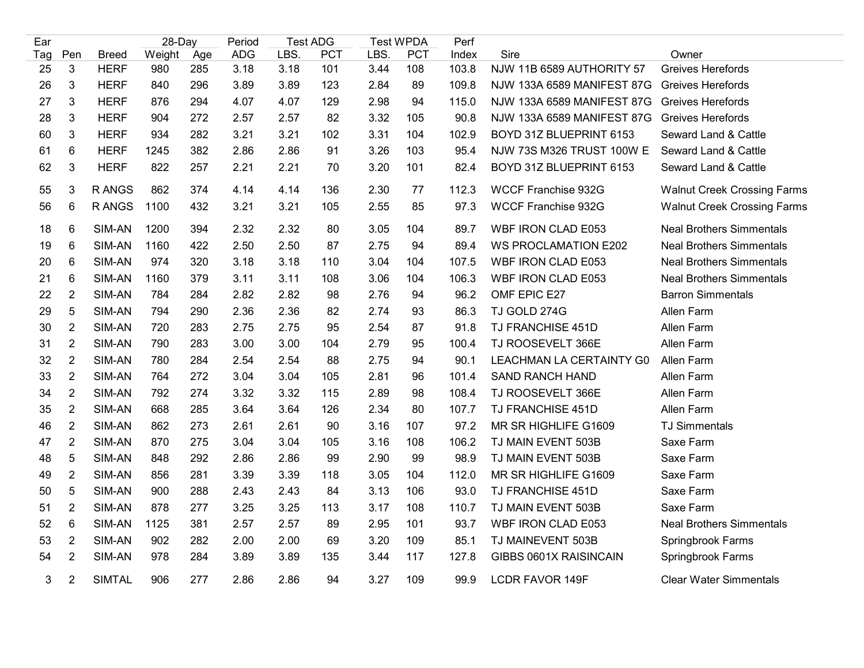| Ear      |                     |                            | 28-Day     |            | Period       | <b>Test ADG</b> |            | <b>Test WPDA</b> |            | Perf           |                                                          |                                               |  |
|----------|---------------------|----------------------------|------------|------------|--------------|-----------------|------------|------------------|------------|----------------|----------------------------------------------------------|-----------------------------------------------|--|
| Tag      | Pen                 | <b>Breed</b>               | Weight     | Age        | ADG<br>3.18  | LBS.            | <b>PCT</b> | LBS.             | <b>PCT</b> | Index<br>103.8 | Sire                                                     | Owner                                         |  |
| 25       | $\mathfrak{S}$<br>3 | <b>HERF</b><br><b>HERF</b> | 980        | 285        |              | 3.18            | 101        | 3.44             | 108        |                | NJW 11B 6589 AUTHORITY 57                                | <b>Greives Herefords</b>                      |  |
| 26<br>27 | $\mathbf{3}$        | <b>HERF</b>                | 840<br>876 | 296<br>294 | 3.89<br>4.07 | 3.89<br>4.07    | 123<br>129 | 2.84<br>2.98     | 89<br>94   | 109.8<br>115.0 | NJW 133A 6589 MANIFEST 87G<br>NJW 133A 6589 MANIFEST 87G | Greives Herefords<br><b>Greives Herefords</b> |  |
| 28       | 3                   | <b>HERF</b>                | 904        | 272        | 2.57         | 2.57            | 82         | 3.32             | 105        | 90.8           | <b>NJW 133A 6589 MANIFEST 87G</b>                        | Greives Herefords                             |  |
| 60       | 3                   | <b>HERF</b>                | 934        | 282        | 3.21         | 3.21            | 102        | 3.31             | 104        | 102.9          | BOYD 31Z BLUEPRINT 6153                                  | Seward Land & Cattle                          |  |
| 61       | 6                   | <b>HERF</b>                | 1245       | 382        | 2.86         | 2.86            | 91         | 3.26             | 103        | 95.4           | NJW 73S M326 TRUST 100W E                                | Seward Land & Cattle                          |  |
| 62       | 3                   | <b>HERF</b>                | 822        | 257        | 2.21         | 2.21            | 70         | 3.20             | 101        | 82.4           | BOYD 31Z BLUEPRINT 6153                                  | Seward Land & Cattle                          |  |
|          |                     |                            |            |            |              |                 |            |                  |            |                |                                                          |                                               |  |
| 55       | 3                   | R ANGS                     | 862        | 374        | 4.14         | 4.14            | 136        | 2.30             | 77         | 112.3          | <b>WCCF Franchise 932G</b>                               | <b>Walnut Creek Crossing Farms</b>            |  |
| 56       | 6                   | R ANGS                     | 1100       | 432        | 3.21         | 3.21            | 105        | 2.55             | 85         | 97.3           | <b>WCCF Franchise 932G</b>                               | <b>Walnut Creek Crossing Farms</b>            |  |
| 18       | 6                   | SIM-AN                     | 1200       | 394        | 2.32         | 2.32            | 80         | 3.05             | 104        | 89.7           | <b>WBF IRON CLAD E053</b>                                | <b>Neal Brothers Simmentals</b>               |  |
| 19       | 6                   | SIM-AN                     | 1160       | 422        | 2.50         | 2.50            | 87         | 2.75             | 94         | 89.4           | <b>WS PROCLAMATION E202</b>                              | <b>Neal Brothers Simmentals</b>               |  |
| 20       | 6                   | SIM-AN                     | 974        | 320        | 3.18         | 3.18            | 110        | 3.04             | 104        | 107.5          | WBF IRON CLAD E053                                       | <b>Neal Brothers Simmentals</b>               |  |
| 21       | 6                   | SIM-AN                     | 1160       | 379        | 3.11         | 3.11            | 108        | 3.06             | 104        | 106.3          | WBF IRON CLAD E053                                       | <b>Neal Brothers Simmentals</b>               |  |
| 22       | $\overline{2}$      | SIM-AN                     | 784        | 284        | 2.82         | 2.82            | 98         | 2.76             | 94         | 96.2           | OMF EPIC E27                                             | <b>Barron Simmentals</b>                      |  |
| 29       | $\sqrt{5}$          | SIM-AN                     | 794        | 290        | 2.36         | 2.36            | 82         | 2.74             | 93         | 86.3           | TJ GOLD 274G                                             | Allen Farm                                    |  |
| 30       | $\overline{2}$      | SIM-AN                     | 720        | 283        | 2.75         | 2.75            | 95         | 2.54             | 87         | 91.8           | TJ FRANCHISE 451D                                        | Allen Farm                                    |  |
| 31       | $\overline{2}$      | SIM-AN                     | 790        | 283        | 3.00         | 3.00            | 104        | 2.79             | 95         | 100.4          | TJ ROOSEVELT 366E                                        | Allen Farm                                    |  |
| 32       | $\overline{2}$      | SIM-AN                     | 780        | 284        | 2.54         | 2.54            | 88         | 2.75             | 94         | 90.1           | LEACHMAN LA CERTAINTY G0                                 | Allen Farm                                    |  |
| 33       | $\overline{2}$      | SIM-AN                     | 764        | 272        | 3.04         | 3.04            | 105        | 2.81             | 96         | 101.4          | <b>SAND RANCH HAND</b>                                   | Allen Farm                                    |  |
| 34       | $\sqrt{2}$          | SIM-AN                     | 792        | 274        | 3.32         | 3.32            | 115        | 2.89             | 98         | 108.4          | TJ ROOSEVELT 366E                                        | Allen Farm                                    |  |
| 35       | $\overline{2}$      | SIM-AN                     | 668        | 285        | 3.64         | 3.64            | 126        | 2.34             | 80         | 107.7          | TJ FRANCHISE 451D                                        | Allen Farm                                    |  |
| 46       | $\overline{2}$      | SIM-AN                     | 862        | 273        | 2.61         | 2.61            | 90         | 3.16             | 107        | 97.2           | MR SR HIGHLIFE G1609                                     | <b>TJ Simmentals</b>                          |  |
| 47       | $\overline{2}$      | SIM-AN                     | 870        | 275        | 3.04         | 3.04            | 105        | 3.16             | 108        | 106.2          | TJ MAIN EVENT 503B                                       | Saxe Farm                                     |  |
| 48       | 5                   | SIM-AN                     | 848        | 292        | 2.86         | 2.86            | 99         | 2.90             | 99         | 98.9           | TJ MAIN EVENT 503B                                       | Saxe Farm                                     |  |
| 49       | $\overline{2}$      | SIM-AN                     | 856        | 281        | 3.39         | 3.39            | 118        | 3.05             | 104        | 112.0          | MR SR HIGHLIFE G1609                                     | Saxe Farm                                     |  |
| 50       | 5                   | SIM-AN                     | 900        | 288        | 2.43         | 2.43            | 84         | 3.13             | 106        | 93.0           | TJ FRANCHISE 451D                                        | Saxe Farm                                     |  |
| 51       | $\overline{2}$      | SIM-AN                     | 878        | 277        | 3.25         | 3.25            | 113        | 3.17             | 108        | 110.7          | TJ MAIN EVENT 503B                                       | Saxe Farm                                     |  |
| 52       | 6                   | SIM-AN                     | 1125       | 381        | 2.57         | 2.57            | 89         | 2.95             | 101        | 93.7           | WBF IRON CLAD E053                                       | <b>Neal Brothers Simmentals</b>               |  |
| 53       | $\overline{2}$      | SIM-AN                     | 902        | 282        | 2.00         | 2.00            | 69         | 3.20             | 109        | 85.1           | TJ MAINEVENT 503B                                        | Springbrook Farms                             |  |
| 54       | $\overline{2}$      | SIM-AN                     | 978        | 284        | 3.89         | 3.89            | 135        | 3.44             | 117        | 127.8          | GIBBS 0601X RAISINCAIN                                   | Springbrook Farms                             |  |
| 3        | 2                   | <b>SIMTAL</b>              | 906        | 277        | 2.86         | 2.86            | 94         | 3.27             | 109        | 99.9           | <b>LCDR FAVOR 149F</b>                                   | <b>Clear Water Simmentals</b>                 |  |
|          |                     |                            |            |            |              |                 |            |                  |            |                |                                                          |                                               |  |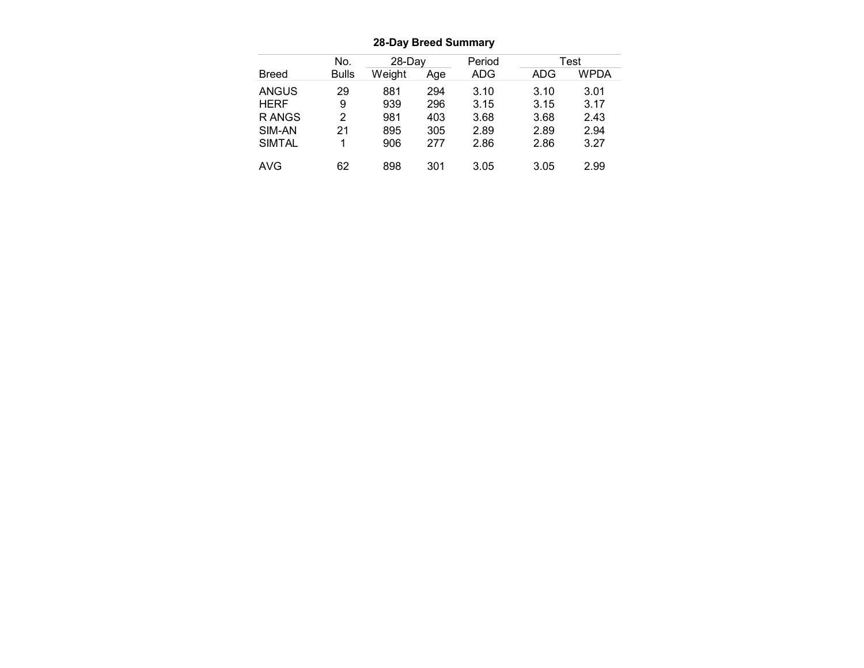|               |                  | <b>28-Day Breed Summary</b> |     |        |      |             |
|---------------|------------------|-----------------------------|-----|--------|------|-------------|
|               | No.              | 28-Day                      |     | Period |      | <b>Test</b> |
| <b>Breed</b>  | <b>Bulls</b>     | Weight                      | Age | ADG    | ADG  | <b>WPDA</b> |
| <b>ANGUS</b>  | 29               | 881                         | 294 | 3.10   | 3.10 | 3.01        |
| <b>HERF</b>   | $\boldsymbol{9}$ | 939                         | 296 | 3.15   | 3.15 | 3.17        |
| R ANGS        | $\overline{2}$   | 981                         | 403 | 3.68   | 3.68 | 2.43        |
| SIM-AN        | 21               | 895                         | 305 | 2.89   | 2.89 | 2.94        |
| <b>SIMTAL</b> | $\mathbf{1}$     | 906                         | 277 | 2.86   | 2.86 | 3.27        |

28-Day Breed Summary